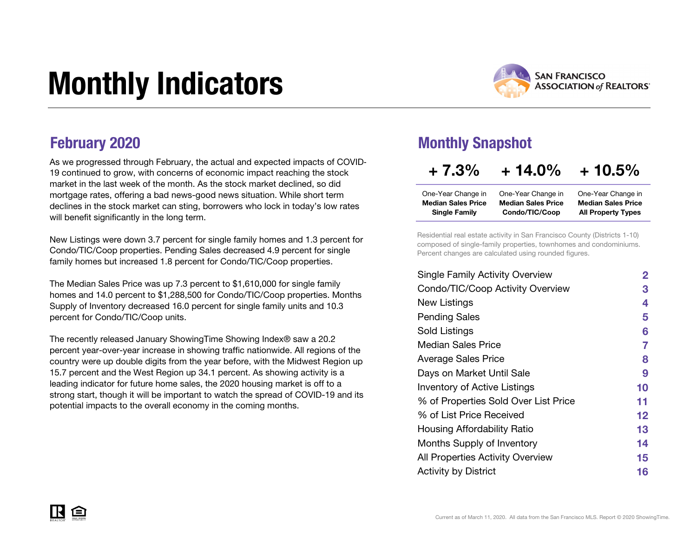# Monthly Indicators



As we progressed through February, the actual and expected impacts of COVID-19 continued to grow, with concerns of economic impact reaching the stock market in the last week of the month. As the stock market declined, so did mortgage rates, offering a bad news-good news situation. While short term declines in the stock market can sting, borrowers who lock in today's low rates will benefit significantly in the long term.

New Listings were down 3.7 percent for single family homes and 1.3 percent for Condo/TIC/Coop properties. Pending Sales decreased 4.9 percent for single family homes but increased 1.8 percent for Condo/TIC/Coop properties.

The Median Sales Price was up 7.3 percent to \$1,610,000 for single family homes and 14.0 percent to \$1,288,500 for Condo/TIC/Coop properties. Months Supply of Inventory decreased 16.0 percent for single family units and 10.3 percent for Condo/TIC/Coop units.

The recently released January ShowingTime Showing Index® saw a 20.2 percent year-over-year increase in showing traffic nationwide. All regions of the country were up double digits from the year before, with the Midwest Region up 15.7 percent and the West Region up 34.1 percent. As showing activity is a leading indicator for future home sales, the 2020 housing market is off to a strong start, though it will be important to watch the spread of COVID-19 and its potential impacts to the overall economy in the coming months.

### **February 2020** Monthly Snapshot

### $+ 7.3\% + 14.0\% + 10.5\%$

| One-Year Change in        | One-Year Change in        | One-Year Change in        |
|---------------------------|---------------------------|---------------------------|
| <b>Median Sales Price</b> | <b>Median Sales Price</b> | <b>Median Sales Price</b> |
| <b>Single Family</b>      | Condo/TIC/Coop            | <b>All Property Types</b> |

Residential real estate activity in San Francisco County (Districts 1-10) composed of single-family properties, townhomes and condominiums. Percent changes are calculated using rounded figures.

| <b>Single Family Activity Overview</b> | $\mathbf{2}$ |
|----------------------------------------|--------------|
| Condo/TIC/Coop Activity Overview       | З            |
| New Listings                           | 4            |
| <b>Pending Sales</b>                   | 5            |
| Sold Listings                          | 6            |
| Median Sales Price                     | 7            |
| <b>Average Sales Price</b>             | 8            |
| Days on Market Until Sale              | 9            |
| <b>Inventory of Active Listings</b>    | 10           |
| % of Properties Sold Over List Price   | 11           |
| % of List Price Received               | $12 \,$      |
| Housing Affordability Ratio            | 13           |
| Months Supply of Inventory             | 14           |
| All Properties Activity Overview       | 15           |
| <b>Activity by District</b>            | 16           |
|                                        |              |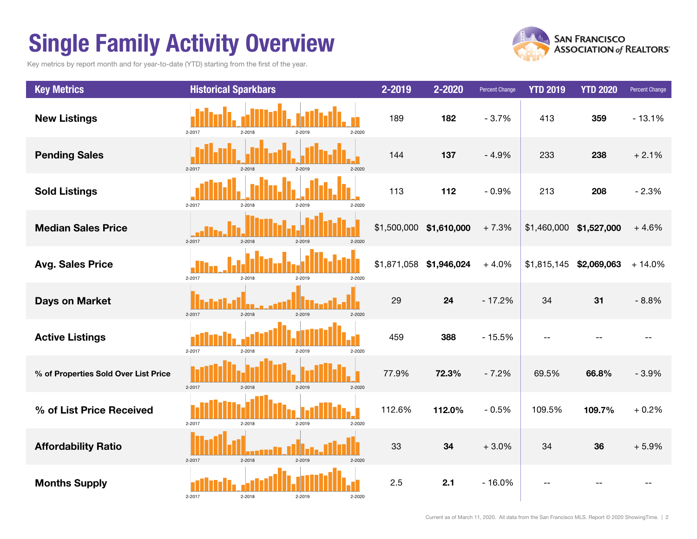# Single Family Activity Overview

Key metrics by report month and for year-to-date (YTD) starting from the first of the year.



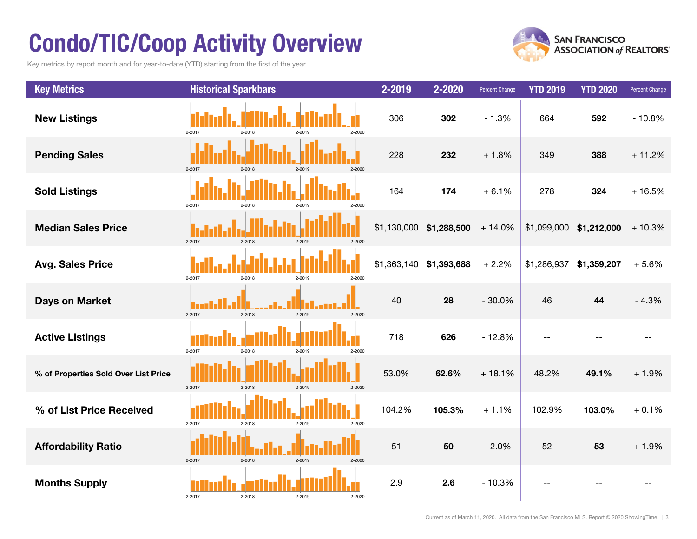# Condo/TIC/Coop Activity Overview

Key metrics by report month and for year-to-date (YTD) starting from the first of the year.



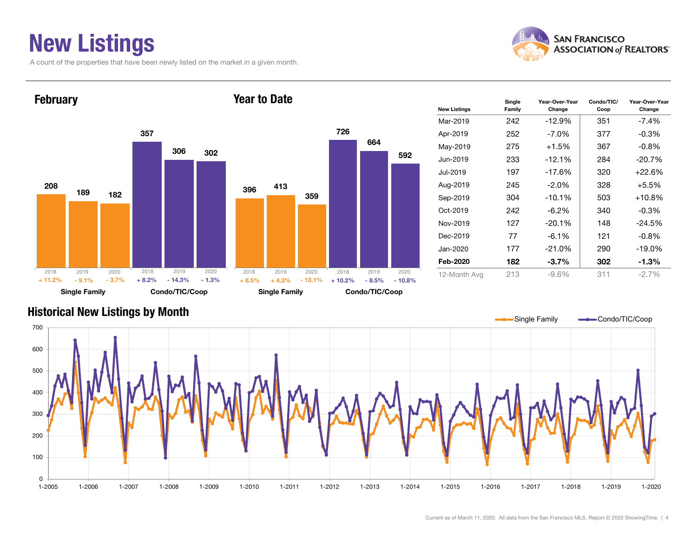# New Listings

A count of the properties that have been newly listed on the market in a given month.





| <b>New Listings</b> | Single<br>Family | Year-Over-Year<br>Change | Condo/TIC/<br>Coop | Year-Over-Year<br>Change |
|---------------------|------------------|--------------------------|--------------------|--------------------------|
| Mar-2019            | 242              | $-12.9%$                 | 351                | $-7.4\%$                 |
| Apr-2019            | 252              | $-7.0\%$                 | 377                | $-0.3%$                  |
| May-2019            | 275              | $+1.5%$                  | 367                | $-0.8%$                  |
| Jun-2019            | 233              | $-12.1\%$                | 284                | $-20.7\%$                |
| Jul-2019            | 197              | $-17.6%$                 | 320                | +22.6%                   |
| Aug-2019            | 245              | $-2.0\%$                 | 328                | $+5.5%$                  |
| Sep-2019            | 304              | $-10.1%$                 | 503                | $+10.8%$                 |
| Oct-2019            | 242              | $-6.2\%$                 | 340                | $-0.3%$                  |
| Nov-2019            | 127              | $-20.1%$                 | 148                | $-24.5%$                 |
| Dec-2019            | 77               | $-6.1\%$                 | 121                | $-0.8%$                  |
| Jan-2020            | 177              | $-21.0\%$                | 290                | $-19.0\%$                |
| Feb-2020            | 182              | $-3.7\%$                 | 302                | -1.3%                    |
| 12-Month Avg        | 213              | $-9.6%$                  | 311                | $-2.7%$                  |

### Historical New Listings by Month

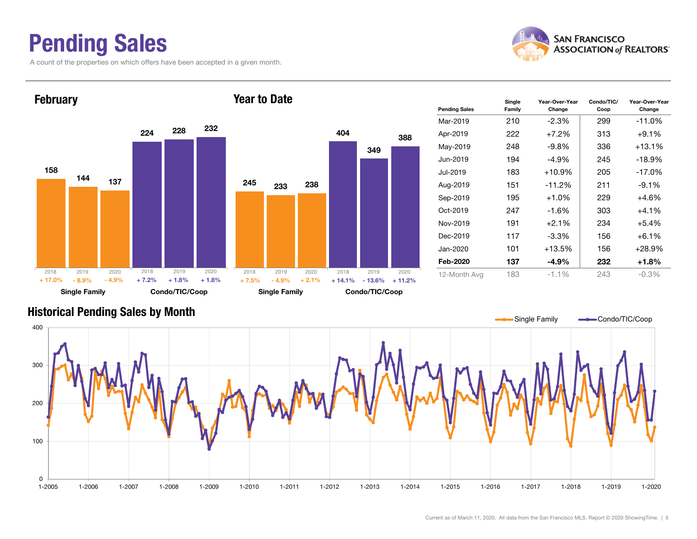## Pending Sales

A count of the properties on which offers have been accepted in a given month.



Year-Over-Year Change



#### Historical Pending Sales by Month

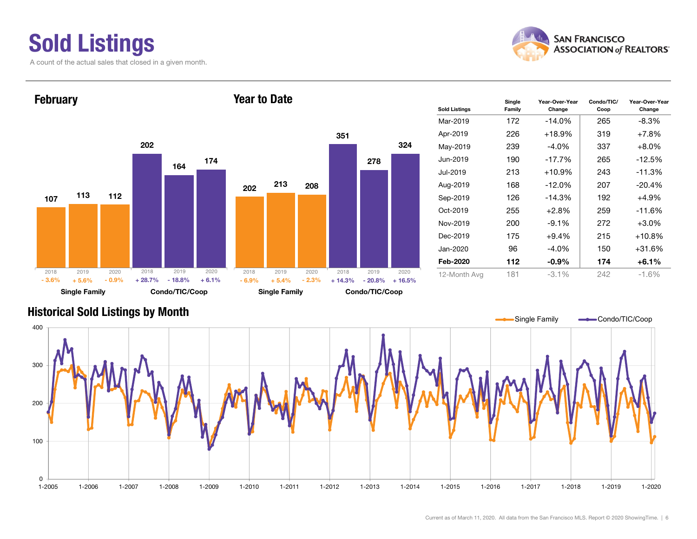### Sold Listings A count of the actual sales that closed in a given month.



Condo/TIC/ Coop

Year-Over-Year Change



#### Historical Sold Listings by Month

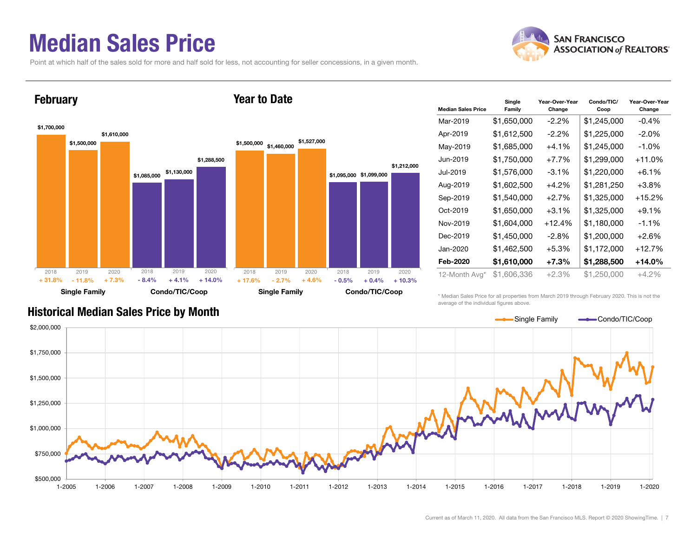### Median Sales Price

Point at which half of the sales sold for more and half sold for less, not accounting for seller concessions, in a given month.

Year to Date



### **February**



| <b>Median Sales Price</b> | Single<br>Family | Year-Over-Year<br>Change | Condo/TIC/<br>Coop | Year-Over-Year<br>Change |
|---------------------------|------------------|--------------------------|--------------------|--------------------------|
| Mar-2019                  | \$1,650,000      | $-2.2\%$                 | \$1,245,000        | $-0.4%$                  |
| Apr-2019                  | \$1,612,500      | $-2.2\%$                 | \$1,225,000        | $-2.0\%$                 |
| May-2019                  | \$1,685,000      | +4.1%                    | \$1,245,000        | $-1.0\%$                 |
| Jun-2019                  | \$1,750,000      | $+7.7%$                  | \$1,299,000        | +11.0%                   |
| Jul-2019                  | \$1,576,000      | $-3.1\%$                 | \$1,220,000        | $+6.1\%$                 |
| Aug-2019                  | \$1,602,500      | $+4.2%$                  | \$1,281,250        | $+3.8\%$                 |
| Sep-2019                  | \$1,540,000      | $+2.7%$                  | \$1,325,000        | +15.2%                   |
| Oct-2019                  | \$1,650,000      | $+3.1%$                  | \$1,325,000        | $+9.1%$                  |
| Nov-2019                  | \$1,604,000      | $+12.4%$                 | \$1,180,000        | $-1.1%$                  |
| Dec-2019                  | \$1,450,000      | $-2.8\%$                 | \$1,200,000        | $+2.6%$                  |
| Jan-2020                  | \$1,462,500      | +5.3%                    | \$1,172,000        | +12.7%                   |
| Feb-2020                  | \$1,610,000      | $+7.3%$                  | \$1,288,500        | $+14.0\%$                |
| 12-Month Avg*             | \$1,606,336      | +2.3%                    | \$1,250,000        | $+4.2%$                  |

\* Median Sales Price for all properties from March 2019 through February 2020. This is not the average of the individual figures above.



### Historical Median Sales Price by Month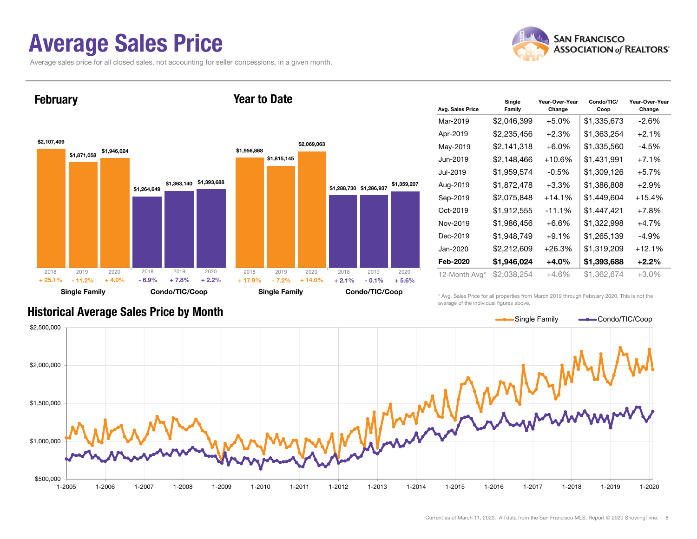### Average Sales Price

Average sales price for all closed sales, not accounting for seller concessions, in a given month.



**February** 



Year to Date

| Avg. Sales Price | Single<br>Family | Year-Over-Year<br>Change | Condo/TIC/<br>Coop | Year-Over-Year<br>Change |
|------------------|------------------|--------------------------|--------------------|--------------------------|
| Mar-2019         | \$2,046,399      | $+5.0%$                  | \$1,335,673        | -2.6%                    |
| Apr-2019         | \$2,235,456      | +2.3%                    | \$1,363,254        | $+2.1%$                  |
| May-2019         | \$2,141,318      | $+6.0\%$                 | \$1,335,560        | -4.5%                    |
| Jun-2019         | \$2,148,466      | $+10.6%$                 | \$1,431,991        | $+7.1\%$                 |
| Jul-2019         | \$1,959,574      | $-0.5%$                  | \$1,309,126        | $+5.7%$                  |
| Aug-2019         | \$1,872,478      | $+3.3%$                  | \$1,386,808        | $+2.9\%$                 |
| Sep-2019         | \$2,075,848      | $+14.1\%$                | \$1,449,604        | $+15.4%$                 |
| Oct-2019         | \$1,912,555      | $-11.1%$                 | \$1,447,421        | $+7.8%$                  |
| Nov-2019         | \$1,986,456      | $+6.6\%$                 | \$1,322,998        | $+4.7%$                  |
| Dec-2019         | \$1,948,749      | $+9.1%$                  | \$1,265,139        | $-4.9\%$                 |
| Jan-2020         | \$2,212,609      | $+26.3%$                 | \$1,319,209        | $+12.1%$                 |
| Feb-2020         | \$1,946,024      | +4.0%                    | \$1,393,688        | $+2.2%$                  |
| 12-Month Avg*    | \$2,038,254      | +4.6%                    | \$1,362,674        | +3.0%                    |

#### Historical Average Sales Price by Month

\* Avg. Sales Price for all properties from March 2019 through February 2020. This is not the average of the individual figures above.

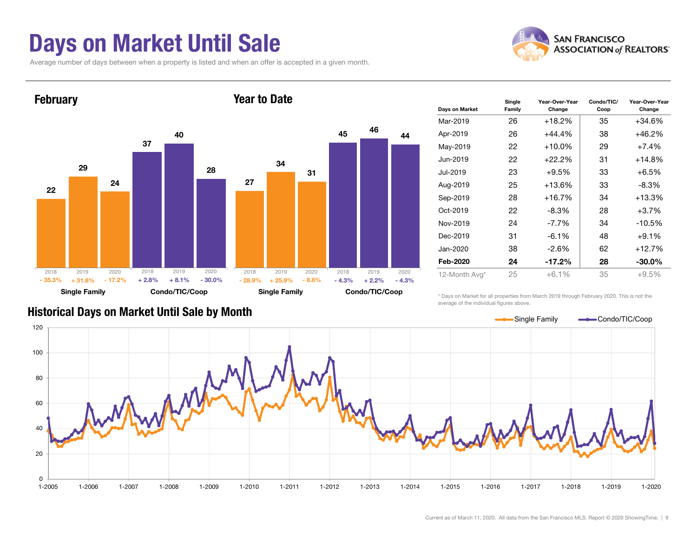## Days on Market Until Sale

Average number of days between when a property is listed and when an offer is accepted in a given month.





| Days on Market | Single<br>Family | Year-Over-Year<br>Change | Condo/TIC/<br>Coop | Year-Over-Year<br>Change |
|----------------|------------------|--------------------------|--------------------|--------------------------|
| Mar-2019       | 26               | $+18.2%$                 | 35                 | $+34.6%$                 |
| Apr-2019       | 26               | $+44.4%$                 | 38                 | $+46.2%$                 |
| May-2019       | 22               | $+10.0\%$                | 29                 | $+7.4\%$                 |
| Jun-2019       | 22               | $+22.2%$                 | 31                 | $+14.8%$                 |
| Jul-2019       | 23               | $+9.5%$                  | 33                 | +6.5%                    |
| Aug-2019       | 25               | $+13.6%$                 | 33                 | $-8.3\%$                 |
| Sep-2019       | 28               | +16.7%                   | 34                 | $+13.3%$                 |
| Oct-2019       | 22               | $-8.3\%$                 | 28                 | $+3.7%$                  |
| Nov-2019       | 24               | $-7.7\%$                 | 34                 | $-10.5%$                 |
| Dec-2019       | 31               | $-6.1\%$                 | 48                 | $+9.1%$                  |
| Jan-2020       | 38               | $-2.6\%$                 | 62<br>$+12.7%$     |                          |
| Feb-2020       | 24               | $-17.2\%$                | 28                 | $-30.0\%$                |
| 12-Month Avg*  | 25               | $+6.1%$                  | 35                 | $+9.5%$                  |

#### Historical Days on Market Until Sale by Month

\* Days on Market for all properties from March 2019 through February 2020. This is not the average of the individual figures above.

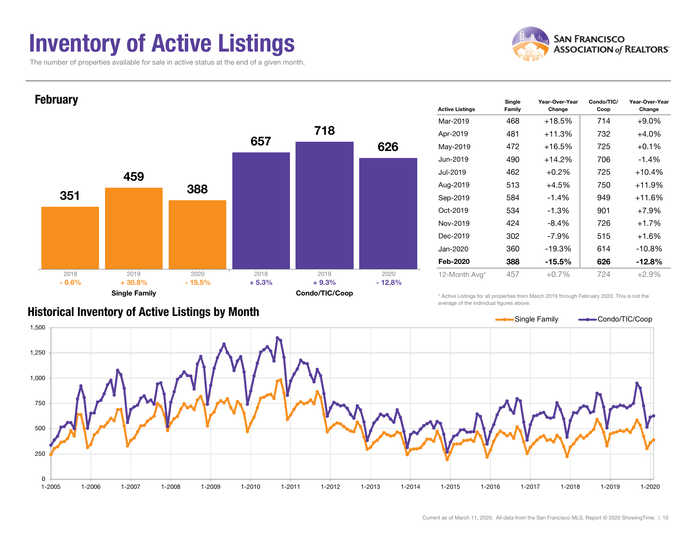### Inventory of Active Listings

The number of properties available for sale in active status at the end of a given month.





|  | <b>Historical Inventory of Active Listings by Month</b> |  |  |  |
|--|---------------------------------------------------------|--|--|--|
|--|---------------------------------------------------------|--|--|--|

| <b>Active Listings</b> | Single<br>Family | Year-Over-Year<br>Change | Condo/TIC/<br>Coop | Year-Over-Year<br>Change |  |  |
|------------------------|------------------|--------------------------|--------------------|--------------------------|--|--|
| Mar-2019               | 468              | $+18.5%$                 | 714                | $+9.0\%$                 |  |  |
| Apr-2019               | 481              | +11.3%                   | 732                | $+4.0%$                  |  |  |
| May-2019               | 472              | +16.5%                   | 725                | $+0.1%$                  |  |  |
| Jun-2019               | 490              | $+14.2%$                 | 706                | $-1.4%$                  |  |  |
| Jul-2019               | 462              | $+0.2%$                  | 725                | $+10.4%$                 |  |  |
| Aug-2019               | 513              | $+4.5%$                  | 750                | $+11.9%$                 |  |  |
| Sep-2019               | 584              | $-1.4%$                  | 949                | $+11.6%$                 |  |  |
| Oct-2019               | 534              | $-1.3%$                  | 901                | $+7.9%$                  |  |  |
| Nov-2019               | 424              | $-8.4\%$                 | 726                | $+1.7%$                  |  |  |
| Dec-2019               | 302              | -7.9%                    | 515                | $+1.6%$                  |  |  |
| Jan-2020               | 360              | $-19.3%$                 | 614                | $-10.8%$                 |  |  |
| Feb-2020               | 388              | -15.5%                   | 626                | $-12.8%$                 |  |  |
| 12-Month Avg*          | 457              | $+0.7%$                  | 724                | $+2.9%$                  |  |  |

\* Active Listings for all properties from March 2019 through February 2020. This is not the average of the individual figures above.

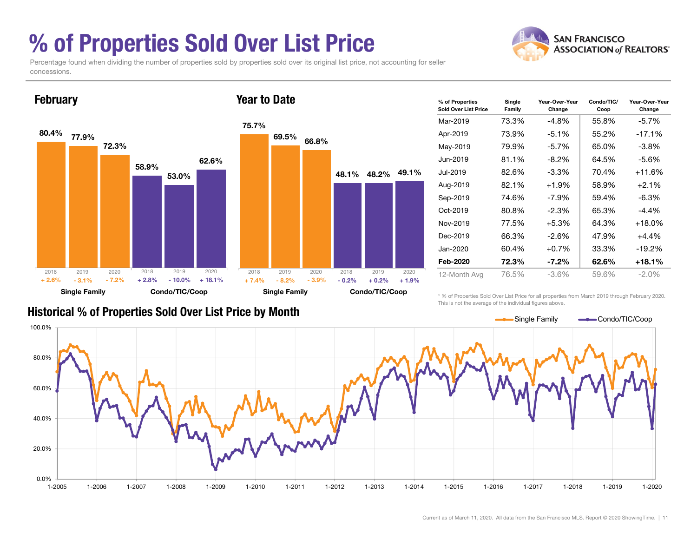# % of Properties Sold Over List Price

Percentage found when dividing the number of properties sold by properties sold over its original list price, not accounting for seller concessions.

Year to Date



| % of Properties<br>Sold Over List Price | Single<br>Family | Year-Over-Year<br>Change | Condo/TIC/<br>Coop | Year-Over-Year<br>Change |
|-----------------------------------------|------------------|--------------------------|--------------------|--------------------------|
| Mar-2019                                | 73.3%            | $-4.8\%$                 | 55.8%              | -5.7%                    |
| Apr-2019                                | 73.9%            | $-5.1\%$                 | 55.2%              | $-17.1%$                 |
| May-2019                                | 79.9%            | $-5.7\%$                 | 65.0%              | $-3.8\%$                 |
| Jun-2019                                | 81.1%            | $-8.2\%$                 | 64.5%              | -5.6%                    |
| Jul-2019                                | 82.6%            | $-3.3\%$                 | 70.4%              | $+11.6%$                 |
| Aug-2019                                | 82.1%            | $+1.9%$                  | 58.9%              | $+2.1%$                  |
| Sep-2019                                | 74.6%            | $-7.9\%$                 | 59.4%              | $-6.3\%$                 |
| Oct-2019                                | 80.8%            | $-2.3\%$                 | 65.3%              | -4.4%                    |
| Nov-2019                                | 77.5%            | $+5.3%$                  | 64.3%              | $+18.0\%$                |
| Dec-2019                                | 66.3%            | $-2.6%$                  | 47.9%              | $+4.4%$                  |
| Jan-2020                                | 60.4%            | $+0.7%$                  | 33.3%              | $-19.2%$                 |
| Feb-2020                                | 72.3%            | $-7.2\%$                 | 62.6%              | $+18.1%$                 |
| 12-Month Avg                            | 76.5%            | -3.6%                    | 59.6%              | $-2.0\%$                 |

### Historical % of Properties Sold Over List Price by Month

February

\* % of Properties Sold Over List Price for all properties from March 2019 through February 2020. This is not the average of the individual figures above.

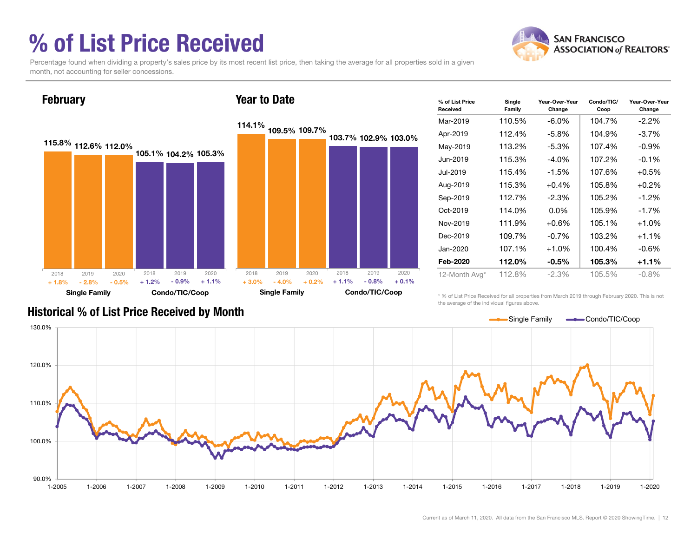# % of List Price Received



Percentage found when dividing a property's sales price by its most recent list price, then taking the average for all properties sold in a given month, not accounting for seller concessions.



| % of List Price<br>Received | Single<br>Family | Year-Over-Year<br>Change | Condo/TIC/<br>Coop | Year-Over-Year<br>Change |
|-----------------------------|------------------|--------------------------|--------------------|--------------------------|
| Mar-2019                    | 110.5%           | $-6.0\%$                 | 104.7%             | $-2.2\%$                 |
| Apr-2019                    | 112.4%           | $-5.8\%$                 | 104.9%             | $-3.7%$                  |
| May-2019                    | 113.2%           | $-5.3\%$                 | 107.4%             | $-0.9\%$                 |
| Jun-2019                    | 115.3%           | $-4.0\%$                 | 107.2%             | $-0.1%$                  |
| Jul-2019                    | 115.4%           | $-1.5%$                  | 107.6%             | $+0.5%$                  |
| Aug-2019                    | 115.3%           | $+0.4%$                  | 105.8%             | $+0.2%$                  |
| Sep-2019                    | 112.7%           | $-2.3%$                  | 105.2%             | $-1.2\%$                 |
| $Oct-2019$                  | 114.0%           | $0.0\%$                  | 105.9%             | $-1.7%$                  |
| Nov-2019                    | 111.9%           | $+0.6%$                  | 105.1%             | $+1.0%$                  |
| Dec-2019                    | 109.7%           | $-0.7%$                  | 103.2%             | $+1.1%$                  |
| Jan-2020                    | 107.1%           | $+1.0%$                  | 100.4%             | $-0.6%$                  |
| Feb-2020                    | 112.0%           | $-0.5\%$                 | 105.3%             | $+1.1%$                  |
| 12-Month Avg*               | 112.8%           | $-2.3%$                  | 105.5%             | $-0.8%$                  |

Historical % of List Price Received by Month

\* % of List Price Received for all properties from March 2019 through February 2020. This is not the average of the individual figures above.

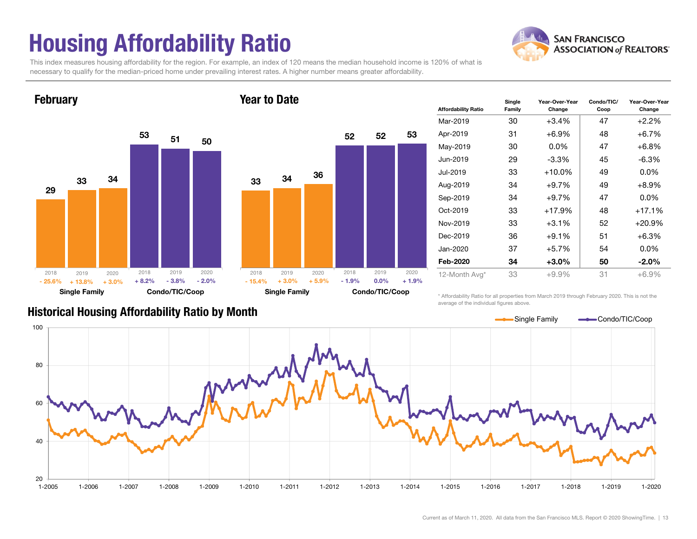# Housing Affordability Ratio

**SAN FRANCISCO ASSOCIATION of REALTORS'** 

This index measures housing affordability for the region. For example, an index of 120 means the median household income is 120% of what is necessary to qualify for the median-priced home under prevailing interest rates. A higher number means greater affordability.

Year to Date



**February** 



| <b>Affordability Ratio</b> | Single<br>Family | Year-Over-Year<br>Change | Condo/TIC/<br>Coop | Year-Over-Year<br>Change |
|----------------------------|------------------|--------------------------|--------------------|--------------------------|
| Mar-2019                   | 30               | +3.4%                    | 47                 | $+2.2%$                  |
| Apr-2019                   | 31               | $+6.9%$                  | 48                 | $+6.7%$                  |
| May-2019                   | 30               | $0.0\%$                  | 47                 | $+6.8%$                  |
| Jun-2019                   | 29               | $-3.3\%$                 | 45                 | $-6.3\%$                 |
| Jul-2019                   | 33               | $+10.0%$                 | 49                 | $0.0\%$                  |
| Aug-2019                   | 34               | $+9.7%$                  | 49                 | $+8.9%$                  |
| Sep-2019                   | 34               | +9.7%                    | 47                 | $0.0\%$                  |
| Oct-2019                   | 33               | +17.9%                   | 48                 | +17.1%                   |
| Nov-2019                   | 33               | $+3.1\%$                 | 52                 | $+20.9\%$                |
| Dec-2019                   | 36               | $+9.1%$                  | 51                 | $+6.3%$                  |
| Jan-2020                   | 37               | +5.7%                    | 54                 | $0.0\%$                  |
| Feb-2020                   | 34               | +3.0%                    | 50                 | $-2.0\%$                 |
| 12-Month Avg*              | 33               | $+9.9%$                  | 31                 | $+6.9%$                  |

Historical Housing Affordability Ratio by Month

\* Affordability Ratio for all properties from March 2019 through February 2020. This is not the average of the individual figures above.

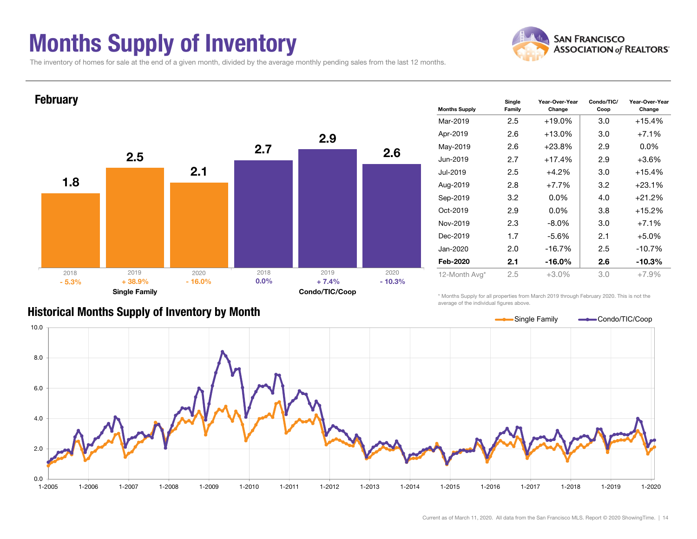## Months Supply of Inventory



The inventory of homes for sale at the end of a given month, divided by the average monthly pending sales from the last 12 months.



#### Historical Months Supply of Inventory by Month

\* Months Supply for all properties from March 2019 through February 2020. This is not the average of the individual figures above.

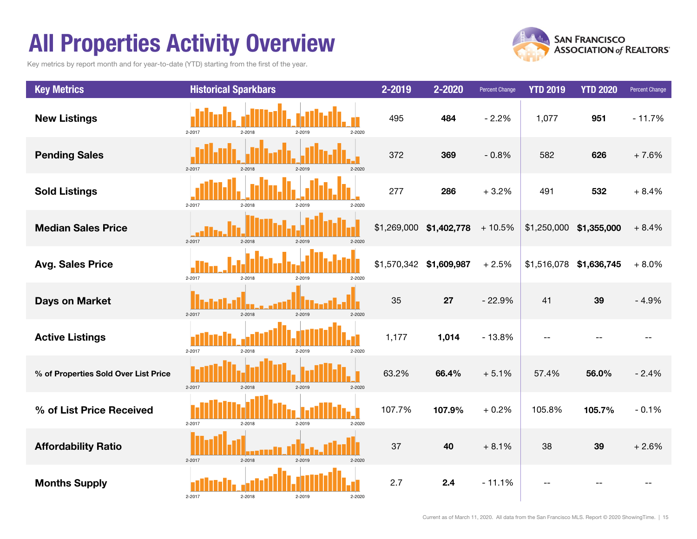# All Properties Activity Overview

Key metrics by report month and for year-to-date (YTD) starting from the first of the year.